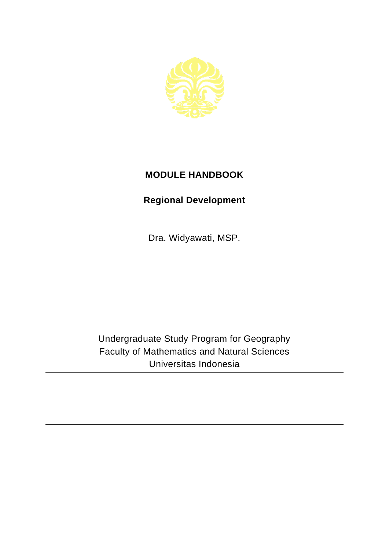

## **MODULE HANDBOOK**

## **Regional Development**

Dra. Widyawati, MSP.

Undergraduate Study Program for Geography Faculty of Mathematics and Natural Sciences Universitas Indonesia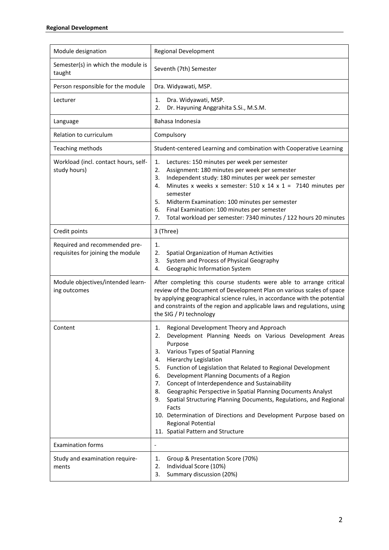| Module designation                                                 | Regional Development                                                                                                                                                                                                                                                                                                                                                                                                                                                                                                                                                                                                                                                                  |
|--------------------------------------------------------------------|---------------------------------------------------------------------------------------------------------------------------------------------------------------------------------------------------------------------------------------------------------------------------------------------------------------------------------------------------------------------------------------------------------------------------------------------------------------------------------------------------------------------------------------------------------------------------------------------------------------------------------------------------------------------------------------|
| Semester(s) in which the module is<br>taught                       | Seventh (7th) Semester                                                                                                                                                                                                                                                                                                                                                                                                                                                                                                                                                                                                                                                                |
| Person responsible for the module                                  | Dra. Widyawati, MSP.                                                                                                                                                                                                                                                                                                                                                                                                                                                                                                                                                                                                                                                                  |
| Lecturer                                                           | Dra. Widyawati, MSP.<br>1.<br>Dr. Hayuning Anggrahita S.Si., M.S.M.<br>2.                                                                                                                                                                                                                                                                                                                                                                                                                                                                                                                                                                                                             |
| Language                                                           | Bahasa Indonesia                                                                                                                                                                                                                                                                                                                                                                                                                                                                                                                                                                                                                                                                      |
| Relation to curriculum                                             | Compulsory                                                                                                                                                                                                                                                                                                                                                                                                                                                                                                                                                                                                                                                                            |
| Teaching methods                                                   | Student-centered Learning and combination with Cooperative Learning                                                                                                                                                                                                                                                                                                                                                                                                                                                                                                                                                                                                                   |
| Workload (incl. contact hours, self-<br>study hours)               | 1.<br>Lectures: 150 minutes per week per semester<br>2.<br>Assignment: 180 minutes per week per semester<br>Independent study: 180 minutes per week per semester<br>3.<br>Minutes x weeks x semester: 510 x 14 x 1 = 7140 minutes per<br>4.<br>semester<br>5.<br>Midterm Examination: 100 minutes per semester<br>6.<br>Final Examination: 100 minutes per semester<br>Total workload per semester: 7340 minutes / 122 hours 20 minutes<br>7.                                                                                                                                                                                                                                         |
| Credit points                                                      | 3 (Three)                                                                                                                                                                                                                                                                                                                                                                                                                                                                                                                                                                                                                                                                             |
| Required and recommended pre-<br>requisites for joining the module | 1.<br>2.<br>Spatial Organization of Human Activities<br>System and Process of Physical Geography<br>3.<br>Geographic Information System<br>4.                                                                                                                                                                                                                                                                                                                                                                                                                                                                                                                                         |
| Module objectives/intended learn-<br>ing outcomes                  | After completing this course students were able to arrange critical<br>review of the Document of Development Plan on various scales of space<br>by applying geographical science rules, in accordance with the potential<br>and constraints of the region and applicable laws and regulations, using<br>the SIG / PJ technology                                                                                                                                                                                                                                                                                                                                                       |
| Content                                                            | Regional Development Theory and Approach<br>1.<br>2.<br>Development Planning Needs on Various Development Areas<br>Purpose<br>Various Types of Spatial Planning<br>3.<br><b>Hierarchy Legislation</b><br>4.<br>Function of Legislation that Related to Regional Development<br>5.<br>Development Planning Documents of a Region<br>6.<br>Concept of Interdependence and Sustainability<br>7.<br>Geographic Perspective in Spatial Planning Documents Analyst<br>8.<br>Spatial Structuring Planning Documents, Regulations, and Regional<br>9.<br>Facts<br>10. Determination of Directions and Development Purpose based on<br>Regional Potential<br>11. Spatial Pattern and Structure |
| <b>Examination forms</b>                                           |                                                                                                                                                                                                                                                                                                                                                                                                                                                                                                                                                                                                                                                                                       |
| Study and examination require-<br>ments                            | Group & Presentation Score (70%)<br>1.<br>Individual Score (10%)<br>2.<br>Summary discussion (20%)<br>3.                                                                                                                                                                                                                                                                                                                                                                                                                                                                                                                                                                              |